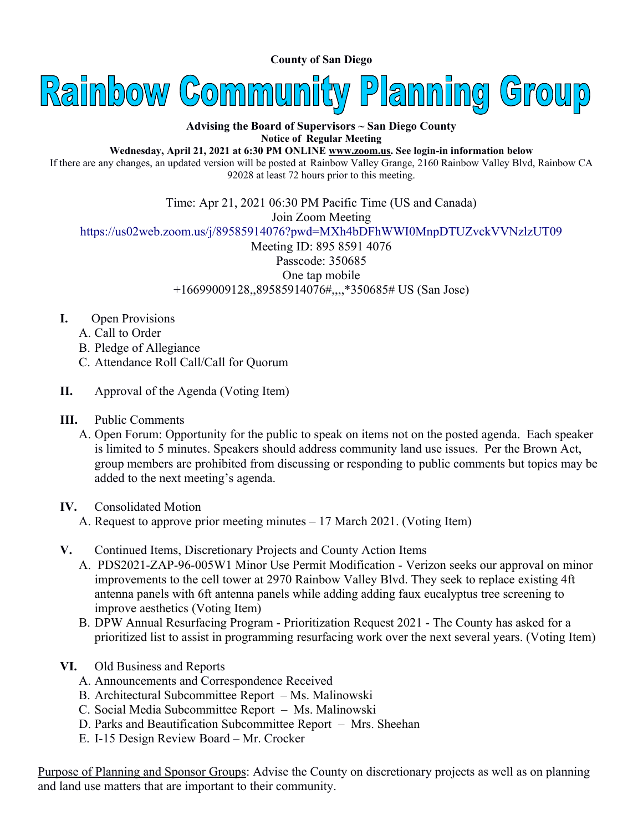**County of San Diego** 



## **Advising the Board of Supervisors ~ San Diego County Notice of Regular Meeting**

**Wednesday, April 21, 2021 at 6:30 PM ONLINE [www.zoom.us](http://www.zoom.us/). See login-in information below**

If there are any changes, an updated version will be posted at Rainbow Valley Grange, 2160 Rainbow Valley Blvd, Rainbow CA 92028 at least 72 hours prior to this meeting.

Time: Apr 21, 2021 06:30 PM Pacific Time (US and Canada) Join Zoom Meeting <https://us02web.zoom.us/j/89585914076?pwd=MXh4bDFhWWI0MnpDTUZvckVVNzlzUT09> Meeting ID: 895 8591 4076 Passcode: 350685 One tap mobile

+16699009128,,89585914076#,,,,\*350685# US (San Jose)

- **I.** Open Provisions
	- A. Call to Order
	- B. Pledge of Allegiance
	- C. Attendance Roll Call/Call for Quorum
- **II.** Approval of the Agenda (Voting Item)
- **III.** Public Comments
	- A. Open Forum: Opportunity for the public to speak on items not on the posted agenda. Each speaker is limited to 5 minutes. Speakers should address community land use issues. Per the Brown Act, group members are prohibited from discussing or responding to public comments but topics may be added to the next meeting's agenda.
- **IV.** Consolidated Motion
	- A. Request to approve prior meeting minutes 17 March 2021. (Voting Item)
- **V.** Continued Items, Discretionary Projects and County Action Items
	- A. PDS2021-ZAP-96-005W1 Minor Use Permit Modification Verizon seeks our approval on minor improvements to the cell tower at 2970 Rainbow Valley Blvd. They seek to replace existing 4ft antenna panels with 6ft antenna panels while adding adding faux eucalyptus tree screening to improve aesthetics (Voting Item)
	- B. DPW Annual Resurfacing Program Prioritization Request 2021 The County has asked for a prioritized list to assist in programming resurfacing work over the next several years. (Voting Item)
- **VI.** Old Business and Reports
	- A. Announcements and Correspondence Received
	- B. Architectural Subcommittee Report Ms. Malinowski
	- C. Social Media Subcommittee Report Ms. Malinowski
	- D. Parks and Beautification Subcommittee Report Mrs. Sheehan
	- E. I-15 Design Review Board Mr. Crocker

Purpose of Planning and Sponsor Groups: Advise the County on discretionary projects as well as on planning and land use matters that are important to their community.